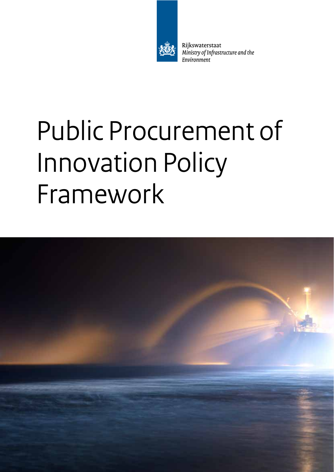

Rijkswaterstaat Ministry of Infrastructure and the Environment

# Public Procurement of Innovation Policy Framework

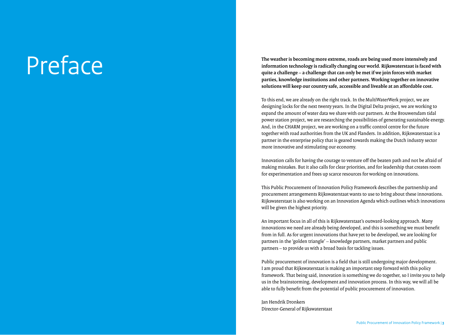## Preface

**The weather is becoming more extreme, roads are being used more intensively and information technology is radically changing our world. Rijkswaterstaat is faced with quite a challenge – a challenge that can only be met if we join forces with market parties, knowledge institutions and other partners. Working together on innovative solutions will keep our country safe, accessible and liveable at an a ffordable cost.**

To this end, we are already on the right track. In the MultiWaterWerk project, we are designing locks for the next twenty years. In the Digital Delta project, we are working to expand the amount of water data we share with our partners. At the Brouwersdam tidal power station project, we are researching the possibilities of generating sustainable energy. And, in the CHARM project, we are working on a tra ffic control centre for the future together with road authorities from the UK and Flanders. In addition, Rijkswaterstaat is a partner in the enterprise policy that is geared towards making the Dutch industry sector more innovative and stimulating our economy.

Innovation calls for having the courage to venture o ff the beaten path and not be afraid of making mistakes. But it also calls for clear priorities, and for leadership that creates room for experimentation and frees up scarce resources for working on innovations.

This Public Procurement of Innovation Policy Framework describes the partnership and procurement arrangements Rijkswaterstaat wants to use to bring about these innovations. Rijkswaterstaat is also working on an Innovation Agenda which outlines which innovations will be given the highest priority.

An important focus in all of this is Rijkswaterstaat's outward-looking approach. Many innovations we need are already being developed, and this is something we must benefit from in full. As for urgent innovations that have yet to be developed, we are looking for partners in the 'golden triangle' – knowledge partners, market partners and public partners – to provide us with a broad basis for tackling issues.

Public procurement of innovation is a field that is still undergoing major development. I am proud that Rijkswaterstaat is making an important step forward with this policy framework. That being said, innovation is something we do together, so I invite you to help us in the brainstorming, development and innovation process. In this way, we will all be able to fully benefit from the potential of public procurement of innovation.

Jan Hendrik Dronkers Director-General of Rijkswaterstaat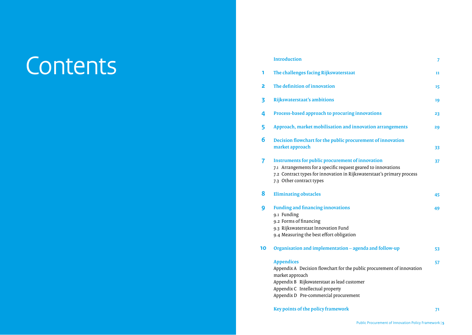## Contents **<sup>1</sup>**

|    | <b>Introduction</b>                                                                                                                                                                                                                        | 7  |
|----|--------------------------------------------------------------------------------------------------------------------------------------------------------------------------------------------------------------------------------------------|----|
| 1  | The challenges facing Rijkswaterstaat                                                                                                                                                                                                      | 11 |
| 2  | The definition of innovation                                                                                                                                                                                                               | 15 |
| 3  | Rijkswaterstaat's ambitions                                                                                                                                                                                                                | 19 |
| 4  | Process-based approach to procuring innovations                                                                                                                                                                                            | 23 |
| 5  | Approach, market mobilisation and innovation arrangements                                                                                                                                                                                  | 29 |
| 6  | Decision flowchart for the public procurement of innovation                                                                                                                                                                                |    |
|    | market approach                                                                                                                                                                                                                            | 33 |
| 7  | <b>Instruments for public procurement of innovation</b><br>7.1 Arrangements for a specific request geared to innovations<br>7.2 Contract types for innovation in Rijkswaterstaat's primary process<br>7.3 Other contract types             | 37 |
| 8  | <b>Eliminating obstacles</b>                                                                                                                                                                                                               | 45 |
| 9  | <b>Funding and financing innovations</b><br>9.1 Funding<br>9.2 Forms of financing<br>9.3 Rijkswaterstaat Innovation Fund<br>9.4 Measuring the best effort obligation                                                                       | 49 |
| 10 | Organisation and implementation - agenda and follow-up                                                                                                                                                                                     | 53 |
|    | <b>Appendices</b><br>Appendix A Decision flowchart for the public procurement of innovation<br>market approach<br>Appendix B Rijkswaterstaat as lead customer<br>Appendix C Intellectual property<br>Appendix D Pre-commercial procurement | 57 |

Key points of the policy framework **71**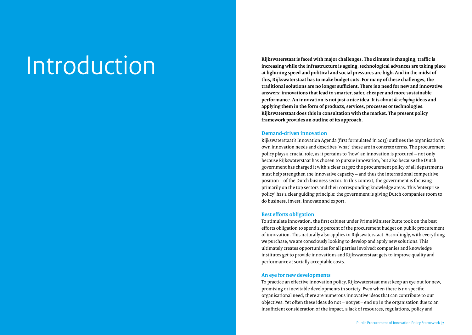# Introduction

**Rijkswaterstaat is faced with major challenges. The climate is changing, traffic is increasing while the infrastructure is ageing, technological advances are taking place at lightning speed and political and social pressures are high. And in the midst of this, Rijkswaterstaat has to make budget cuts. For many of these challenges, the traditional solutions are no longer sufficient. There is a need for new and innovative answers: innovations that lead to smarter, safer, cheaper and more sustainable performance. An innovation is not just a nice idea. It is about** *developing* **ideas and applying them in the form of products, services, processes or technologies. Rijkswaterstaat does this in consultation with the market. The present policy framework provides an outline of its approach.** 

### **Demand-driven innovation**

Rijkswaterstaat's Innovation Agenda (first formulated in 2013) outlines the organisation's own innovation needs and describes 'what' these are in concrete terms. The procurement policy plays a crucial role, as it pertains to 'how' an innovation is procured – not only because Rijkswaterstaat has chosen to pursue innovation, but also because the Dutch government has charged it with a clear target: the procurement policy of all departments must help strengthen the innovative capacity – and thus the international competitive position – of the Dutch business sector. In this context, the government is focusing primarily on the top sectors and their corresponding knowledge areas. This 'enterprise policy' has a clear guiding principle: the government is giving Dutch companies room to do business, invest, innovate and export.

### **Best efforts obligation**

To stimulate innovation, the first cabinet under Prime Minister Rutte took on the best efforts obligation to spend 2.5 percent of the procurement budget on public procurement of innovation. This naturally also applies to Rijkswaterstaat. Accordingly, with everything we purchase, we are consciously looking to develop and apply new solutions. This ultimately creates opportunities for all parties involved: companies and knowledge institutes get to provide innovations and Rijkswaterstaat gets to improve quality and performance at socially acceptable costs.

### **An eye for new developments**

To practice an effective innovation policy, Rijkswaterstaat must keep an eye out for new, promising or inevitable developments in society. Even when there is no specific organisational need, there are numerous innovative ideas that can contribute to our objectives. Yet often these ideas do not – not yet – end up in the organisation due to an insufficient consideration of the impact, a lack of resources, regulations, policy and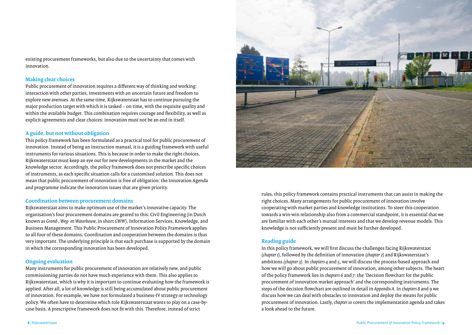existing procurement frameworks, but also due to the uncertainty that comes with innovation.

### **Making clear choices**

Public procurement of innovation requires a different way of thinking and working: interaction with other parties, investments with an uncertain future and freedom to explore new avenues. At the same time, Rijkswaterstaat has to continue pursuing the major production target with which it is tasked – on time, with the requisite quality and within the available budget. This combination requires courage and flexibility, as well as explicit agreements and clear choices: innovation must not be an end in itself.

### **A guide, but not without obligation**

This policy framework has been formulated as a practical tool for public procurement of innovation. Instead of being an instruction manual, it is a guiding framework with useful instruments for various situations. This is because in order to make the right choices, Rijkswaterstaat must keep an eye out for new developments in the market and the knowledge sector. Accordingly, the policy framework does not prescribe specific choices of instruments, as each specific situation calls for a customised solution. This does not mean that public procurement of innovation is free of obligation: the Innovation Agenda and programme indicate the innovation issues that are given priority.

### **Coordination between procurement domains**

Rijkswaterstaat aims to make optimum use of the market's innovative capacity. The organisation's four procurement domains are geared to this: Civil Engineering (in Dutch known as *Grond-, Weg- en Waterbouw*, in short *GWW*), Information Services, Knowledge, and Business Management. This Public Procurement of Innovation Policy Framework applies to all four of these domains. Coordination and cooperation between the domains is thus very important. The underlying principle is that each purchase is supported by the domain in which the corresponding innovation has been developed.

### **Ongoing evaluation**

Many instruments for public procurement of innovation are relatively new, and public commissioning parties do not have much experience with them. This also applies to Rijkswaterstaat, which is why it is important to continue evaluating how the framework is applied. After all, a lot of knowledge is still being accumulated about public procurement of innovation. For example, we have not formulated a business-IV strategy or technology policy. We often have to determine which role Rijkswaterstaat wants to play on a case-bycase basis. A prescriptive framework does not fit with this. Therefore, instead of strict



rules, this policy framework contains practical instruments that can assist in making the right choices. Many arrangements for public procurement of innovation involve cooperating with market parties and knowledge institutions. To steer this cooperation towards a win-win relationship also from a commercial standpoint, it is essential that we are familiar with each other's mutual interests and that we develop revenue models. This knowledge is not sufficiently present and must be further developed.

### **Reading guide**

In this policy framework, we will first discuss the challenges facing Rijkswaterstaat (*chapter 1*), followed by the definition of innovation (*chapter 2*) and Rijkswaterstaat's ambitions (*chapter 3*). In *chapters 4* and *5*, we will discuss the process-based approach and how we will go about public procurement of innovation, among other subjects. The heart of the policy framework lies in *chapters 6* and *7*: the 'Decision flowchart for the public procurement of innovation market approach' and the corresponding instruments. The steps of the decision flowchart are outlined in detail in *Appendix A*. In *chapters 8* and *9* we discuss how we can deal with obstacles to innovation and deploy the means for public procurement of innovation. Lastly, *chapter 10* covers the implementation agenda and takes a look ahead to the future.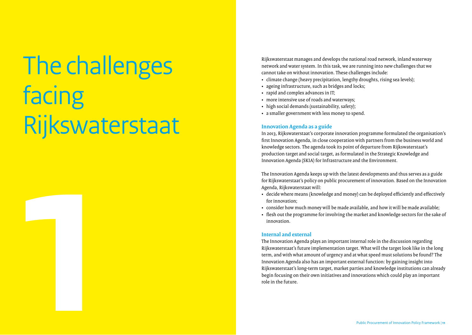# The challenges facing Rijkswaterstaat **1**

Rijkswaterstaat manages and develops the national road network, inland waterway network and water system. In this task, we are running into new challenges that we cannot take on without innovation. These challenges include:

- climate change (heavy precipitation, lengthy droughts, rising sea levels);
- ageing infrastructure, such as bridges and locks;
- rapid and complex advances in IT;
- more intensive use of roads and waterways;
- high social demands (sustainability, safety);
- a smaller government with less money to spend.

### **Innovation Agenda as a guide**

In 2013, Rijkswaterstaat's corporate innovation programme formulated the organisation's first Innovation Agenda, in close cooperation with partners from the business world and knowledge sectors. The agenda took its point of departure from Rijkswaterstaat's production target and social target, as formulated in the Strategic Knowledge and Innovation Agenda (SKIA) for Infrastructure and the Environment.

The Innovation Agenda keeps up with the latest developments and thus serves as a guide for Rijkswaterstaat's policy on public procurement of innovation. Based on the Innovation Agenda, Rijkswaterstaat will:

- decide where means (knowledge and money) can be deployed efficiently and effectively for innovation;
- consider how much money will be made available, and how it will be made available;
- flesh out the programme for involving the market and knowledge sectors for the sake of innovation.

### **Internal and external**

The Innovation Agenda plays an important internal role in the discussion regarding Rijkswaterstaat's future implementation target. What will the target look like in the long term, and with what amount of urgency and at what speed must solutions be found? The Innovation Agenda also has an important external function: by gaining insight into Rijkswaterstaat's long-term target, market parties and knowledge institutions can already begin focusing on their own initiatives and innovations which could play an important role in the future.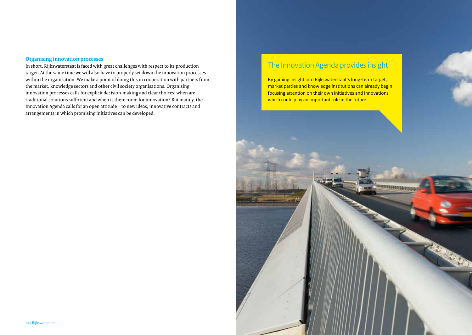### **Organising innovation processes**

In short, Rijkswaterstaat is faced with great challenges with respect to its production target. At the same time we will also have to properly set down the innovation processes within the organisation. We make a point of doing this in cooperation with partners from the market, knowledge sectors and other civil society organisations. Organising innovation processes calls for explicit decision-making and clear choices: when are traditional solutions sufficient and when is there room for innovation? But mainly, the Innovation Agenda calls for an open attitude – to new ideas, innovative contracts and arrangements in which promising initiatives can be developed.

### The Innovation Agenda provides insight

By gaining insight into Rijkswaterstaat's long-term target, market parties and knowledge institutions can already begin focusing attention on their own initiatives and innovations which could play an important role in the future.

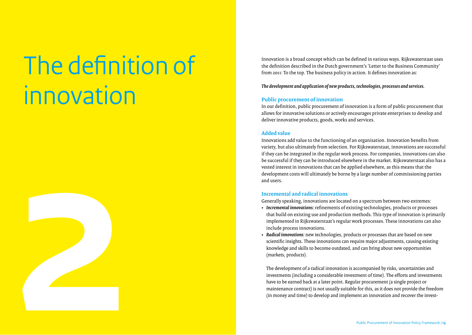# The definition of innovation

**2**

Innovation is a broad concept which can be defined in various ways. Rijkswaterstaat uses the definition described in the Dutch government's 'Letter to the Business Community' from 2011: To the top. The business policy in action. It defines innovation as:

*The development and application of new products, technologies, processes and services.*

### **Public procurement of innovation**

In our definition, public procurement of innovation is a form of public procurement that allows for innovative solutions or actively encourages private enterprises to develop and deliver innovative products, goods, works and services.

### **Added value**

Innovations add value to the functioning of an organisation. Innovation benefits from variety, but also ultimately from selection. For Rijkswaterstaat, innovations are successful if they can be integrated in the regular work process. For companies, innovations can also be successful if they can be introduced elsewhere in the market. Rijkswaterstaat also has a vested interest in innovations that can be applied elsewhere, as this means that the development costs will ultimately be borne by a large number of commissioning parties and users.

### **Incremental and radical innovations**

Generally speaking, innovations are located on a spectrum between two extremes:

- *Incremental innovations:* refinements of existing technologies, products or processes that build on existing use and production methods. This type of innovation is primarily implemented in Rijkswaterstaat's regular work processes. These innovations can also include process innovations.
- *Radical innovations:* new technologies, products or processes that are based on new scientific insights. These innovations can require major adjustments, causing existing knowledge and skills to become outdated, and can bring about new opportunities (markets, products).

The development of a radical innovation is accompanied by risks, uncertainties and investments (including a considerable investment of time). The efforts and investments have to be earned back at a later point. Regular procurement (a single project or maintenance contract) is not usually suitable for this, as it does not provide the freedom (in money and time) to develop and implement an innovation and recover the invest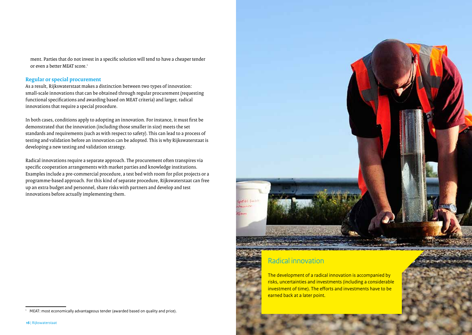ment. Parties that do not invest in a specific solution will tend to have a cheaper tender or even a better MEAT score.<sup>1</sup>

### **Regular or special procurement**

As a result, Rijkswaterstaat makes a distinction between two types of innovation: small-scale innovations that can be obtained through regular procurement (requesting functional specifications and awarding based on MEAT criteria) and larger, radical innovations that require a special procedure.

In both cases, conditions apply to adopting an innovation. For instance, it must first be demonstrated that the innovation (including those smaller in size) meets the set standards and requirements (such as with respect to safety). This can lead to a process of testing and validation before an innovation can be adopted. This is why Rijkswaterstaat is developing a new testing and validation strategy.

Radical innovations require a separate approach. The procurement often transpires via specific cooperation arrangements with market parties and knowledge institutions. Examples include a pre-commercial procedure, a test bed with room for pilot projects or a programme-based approach. For this kind of separate procedure, Rijkswaterstaat can free up an extra budget and personnel, share risks with partners and develop and test innovations before actually implementing them.





### Radical innovation

The development of a radical innovation is accompanied by risks, uncertainties and investments (including a considerable investment of time). The efforts and investments have to be earned back at a later point.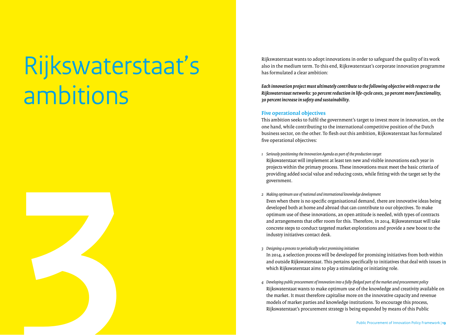## Rijkswaterstaat's ambitions



Rijkswaterstaat wants to adopt innovations in order to safeguard the quality of its work also in the medium term. To this end, Rijkswaterstaat's corporate innovation programme has formulated a clear ambition:

*Each innovation project must ultimately contribute to the following objective with respect to the Rijkswaterstaat networks: 30 percent reduction in life-cycle costs, 30 percent more functionality, 30 percent increase in safety and sustainability.*

### **Five operational objectives**

This ambition seeks to fulfil the government's target to invest more in innovation, on the one hand, while contributing to the international competitive position of the Dutch business sector, on the other. To flesh out this ambition, Rijkswaterstaat has formulated five operational objectives:

*1 Seriously positioning the Innovation Agenda as part of the production target* Rijkswaterstaat will implement at least ten new and visible innovations each year in projects within the primary process. These innovations must meet the basic criteria of providing added social value and reducing costs, while fitting with the target set by the government.

### *2 Making optimum use of national and international knowledge development*

Even when there is no specific organisational demand, there are innovative ideas being developed both at home and abroad that can contribute to our objectives. To make optimum use of these innovations, an open attitude is needed, with types of contracts and arrangements that offer room for this. Therefore, in 2014, Rijkswaterstaat will take concrete steps to conduct targeted market explorations and provide a new boost to the industry initiatives contact desk.

### *3 Designing a process to periodically select promising initiatives*

In 2014, a selection process will be developed for promising initiatives from both within and outside Rijkswaterstaat. This pertains specifically to initiatives that deal with issues in which Rijkswaterstaat aims to play a stimulating or initiating role.

*4 Developing public procurement of innovation into a fully-fledged part of the market and procurement policy* Rijkswaterstaat wants to make optimum use of the knowledge and creativity available on the market. It must therefore capitalise more on the innovative capacity and revenue models of market parties and knowledge institutions. To encourage this process, Rijkswaterstaat's procurement strategy is being expanded by means of this Public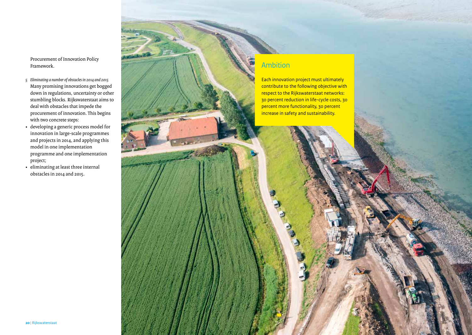Procurement of Innovation Policy Framework.

- *5 Eliminating a number of obstacles in 2014 and 2015*  Many promising innovations get bogged down in regulations, uncertainty or other stumbling blocks. Rijkswaterstaat aims to deal with obstacles that impede the procurement of innovation. This begins with two concrete steps:
- developing a generic process model for innovation in large-scale programmes and projects in 2014, and applying this model in one implementation programme and one implementation project;
- eliminating at least three internal obstacles in 2014 and 2015.

### Ambition

Each innovation project must ultimately contribute to the following objective with respect to the Rijkswaterstaat networks: 30 percent reduction in life-cycle costs, 30 percent more functionality, 30 percent increase in safety and sustainability.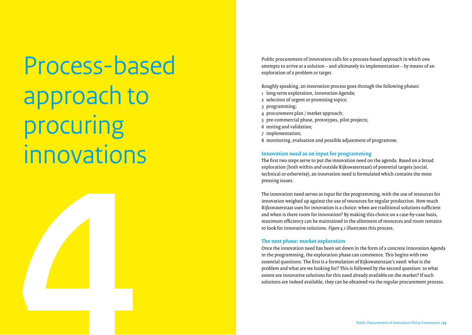Process-based approach to procuring innovations **4**



Roughly speaking, an innovation process goes through the following phases:

- 1 long-term exploration, Innovation Agenda;
- 2 selection of urgent or promising topics;
- 3 programming;
- 4 procurement plan / market approach;
- 5 pre-commercial phase, prototypes, pilot projects;
- 6 testing and validation;
- 7 implementation;
- 8 monitoring, evaluation and possible adjustment of programme.

### **Innovation need as an input for programming**

The first two steps serve to put the innovation need on the agenda. Based on a broad exploration (both within and outside Rijkswaterstaat) of potential targets (social, technical or otherwise), an innovation need is formulated which contains the most pressing issues.

The innovation need serves as input for the programming, with the use of resources for innovation weighed up against the use of resources for regular production. How much Rijkswaterstaat uses for innovation is a choice: when are traditional solutions su fficient and when is there room for innovation? By making this choice on a case-by-case basis, maximum e fficiency can be maintained in the allotment of resources and room remains to look for innovative solutions. *Figure 4.1* illustrates this process.

### **The next phase: market exploration**

Once the innovation need has been set down in the form of a concrete Innovation Agenda in the programming, the exploration phase can commence. This begins with two essential questions. The first is a formulation of Rijkswaterstaat's need: what is the problem and what are we looking for? This is followed by the second question: to what extent are innovative solutions for this need already available on the market? If such solutions are indeed available, they can be obtained via the regular procurement process.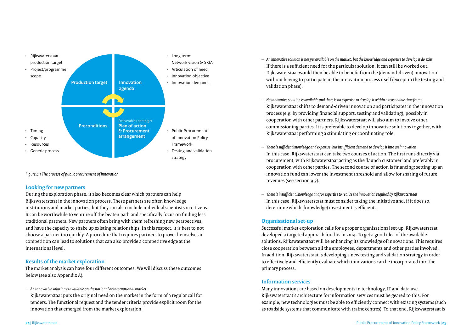

*Figure 4.1 The process of public procurement of innovation*

### **Looking for new partners**

During the exploration phase, it also becomes clear which partners can help Rijkswaterstaat in the innovation process. These partners are often knowledge institutions and market parties, but they can also include individual scientists or citizens. It can be worthwhile to venture off the beaten path and specifically focus on finding less traditional partners. New partners often bring with them refreshing new perspectives, and have the capacity to shake up existing relationships. In this respect, it is best to not choose a partner too quickly. A procedure that requires partners to prove themselves in competition can lead to solutions that can also provide a competitive edge at the international level.

### **Results of the market exploration**

The market analysis can have four different outcomes. We will discuss these outcomes below (see also Appendix A).

*– An innovative solution is available on the national or international market*

Rijkswaterstaat puts the original need on the market in the form of a regular call for tenders. The functional request and the tender criteria provide explicit room for the innovation that emerged from the market exploration.

- *– An innovative solution is not yet available on the market, but the knowledge and expertise to develop it do exist* If there is a sufficient need for the particular solution, it can still be worked out. Rijkswaterstaat would then be able to benefit from the (demand-driven) innovation without having to participate in the innovation process itself (except in the testing and validation phase).
- *– No innovative solution is available and there is no expertise to develop it within a reasonable time frame* Rijkswaterstaat shifts to demand-driven innovation and participates in the innovation process (e.g. by providing financial support, testing and validating), possibly in cooperation with other partners. Rijkswaterstaat will also aim to involve other commissioning parties. It is preferable to develop innovative solutions together, with Rijkswaterstaat performing a stimulating or coordinating role.
- *– There is sufficient knowledge and expertise, but insufficient demand to develop it into an innovation* In this case, Rijkswaterstaat can take two courses of action. The first runs directly via procurement, with Rijkswaterstaat acting as the 'launch customer' and preferably in cooperation with other parties. The second course of action is financing: setting up an innovation fund can lower the investment threshold and allow for sharing of future revenues (see section 9.3).
- *– There is insufficient knowledge and/or expertise to realise the innovation required by Rijkswaterstaat* In this case, Rijkswaterstaat must consider taking the initiative and, if it does so, determine which (knowledge) investment is efficient.

### **Organisational set-up**

Successful market exploration calls for a proper organisational set-up. Rijkswaterstaat developed a targeted approach for this in 2014. To get a good idea of the available solutions, Rijkswaterstaat will be enhancing its knowledge of innovations. This requires close cooperation between all the employees, departments and other parties involved. In addition, Rijkswaterstaat is developing a new testing and validation strategy in order to effectively and efficiently evaluate which innovations can be incorporated into the primary process.

### **Information services**

Many innovations are based on developments in technology, IT and data use. Rijkswaterstaat's architecture for information services must be geared to this. For example, new technologies must be able to efficiently connect with existing systems (such as roadside systems that communicate with traffic centres). To that end, Rijkswaterstaat is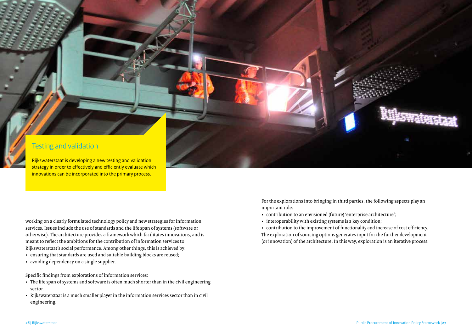### Testing and validation

Rijkswaterstaat is developing a new testing and validation strategy in order to effectively and efficiently evaluate which innovations can be incorporated into the primary process.

working on a clearly formulated technology policy and new strategies for information services. Issues include the use of standards and the life span of systems (software or otherwise). The architecture provides a framework which facilitates innovations, and is meant to reflect the ambitions for the contribution of information services to Rijkswaterstaat's social performance. Among other things, this is achieved by:

- ensuring that standards are used and suitable building blocks are reused;
- avoiding dependency on a single supplier.

Specific findings from explorations of information services:

- The life span of systems and software is often much shorter than in the civil engineering sector.
- Rijkswaterstaat is a much smaller player in the information services sector than in civil engineering.

For the explorations into bringing in third parties, the following aspects play an important role:

- contribution to an envisioned (future) 'enterprise architecture';
- interoperability with existing systems is a key condition;

 contribution to the improvement of functionality and increase of cost efficiency. The exploration of sourcing options generates input for the further development (or innovation) of the architecture. In this way, exploration is an iterative process.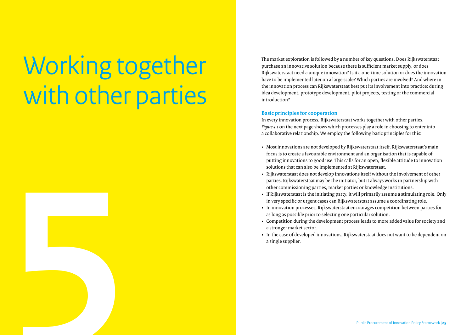# Working together with other parties

**5** 

The market exploration is followed by a number of key questions. Does Rijkswaterstaat purchase an innovative solution because there is sufficient market supply, or does Rijkswaterstaat need a unique innovation? Is it a one-time solution or does the innovation have to be implemented later on a large scale? Which parties are involved? And where in the innovation process can Rijkswaterstaat best put its involvement into practice: during idea development, prototype development, pilot projects, testing or the commercial introduction?

### **Basic principles for cooperation**

In every innovation process, Rijkswaterstaat works together with other parties. *Figure 5.1* on the next page shows which processes play a role in choosing to enter into a collaborative relationship. We employ the following basic principles for this:

- Most innovations are not developed by Rijkswaterstaat itself. Rijkswaterstaat's main focus is to create a favourable environment and an organisation that is capable of putting innovations to good use. This calls for an open, flexible attitude to innovation solutions that can also be implemented at Rijkswaterstaat.
- Rijkswaterstaat does not develop innovations itself without the involvement of other parties. Rijkswaterstaat may be the initiator, but it always works in partnership with other commissioning parties, market parties or knowledge institutions.
- If Rijkswaterstaat is the initiating party, it will primarily assume a stimulating role. Only in very specific or urgent cases can Rijkswaterstaat assume a coordinating role.
- In innovation processes, Rijkswaterstaat encourages competition between parties for as long as possible prior to selecting one particular solution.
- Competition during the development process leads to more added value for society and a stronger market sector.
- In the case of developed innovations, Rijkswaterstaat does not want to be dependent on a single supplier.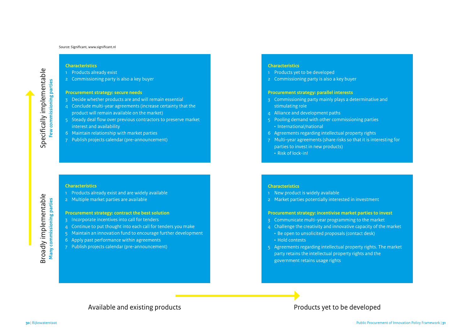### **Characteristics**

- 1 Products already exist
- 2 Commissioning party is also a key buyer

### **Procurement strategy: secure needs**

- 3 Decide whether products are and will remain essential
- 4 Conclude multi-year agreements (increase certainty that the product will remain available on the market)
- 5 Steady deal flow over previous contractors to preserve market interest and availability
- 6 Maintain relationship with market parties
- 7 Publish projects calendar (pre-announcement)

### **Characteristics**

- 1 Products already exist and are widely available
- 2 Multiple market parties are available

### **Procurement strategy: contract the best solution**

- 3 Incorporate incentives into call for tenders
- 4 Continue to put thought into each call for tenders you make
- 5 Maintain an innovation fund to encourage further development
- 6 Apply past performance within agreements
- 7 Publish projects calendar (pre-announcement)

### **Characteristics**

- 1 Products yet to be developed
- 2 Commissioning party is also a key buyer

### **Procurement strategy: parallel interests**

- 3 Commissioning party mainly plays a determinative and stimulating role
- 4 Alliance and development paths
- 5 Pooling demand with other commissioning parties • International/national
- 6 Agreements regarding intellectual property rights
- 7 Multi-year agreements (share risks so that it is interesting for parties to invest in new products)  $\cdot$  Risk of lock-in!

### **Characteristics**

- 1 New product is widely available
- 2 Market parties potentially interested in investment

### **Procurement strategy: incentivise market parties to invest**

- 3 Communicate multi-year programming to the market
- 4 Challenge the creativity and innovative capacity of the market
- Be open to unsolicited proposals (contact desk)  $\cdot$  Hold contests
- 5 Agreements regarding intellectual property rights. The market party retains the intellectual property rights and the government retains usage rights

Available and existing products and existing products  $\blacksquare$ 

Broadly implementable **Many commissioning parties**

Broadly implementable<br>
Many commissioning parties

Specifically implementable cally implementable **Few commissioning parties**

**Few commissioning parties**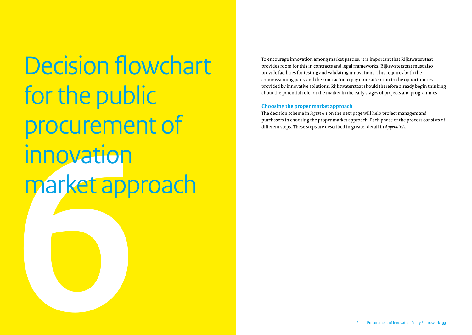**Excession**<br> **Market app** Decision flowchart for the public procurement of innovation market approach

To encourage innovation among market parties, it is important that Rijkswaterstaat provides room for this in contracts and legal frameworks. Rijkswaterstaat must also provide facilities for testing and validating innovations. This requires both the commissioning party and the contractor to pay more attention to the opportunities provided by innovative solutions. Rijkswaterstaat should therefore already begin thinking about the potential role for the market in the early stages of projects and programmes.

### **Choosing the proper market approach**

The decision scheme in *Figure 6.1* on the next page will help project managers and purchasers in choosing the proper market approach. Each phase of the process consists of different steps. These steps are described in greater detail in *Appendix A*.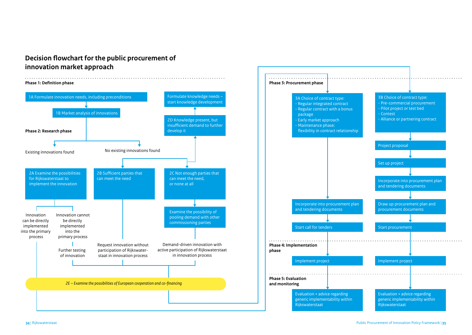### **Decision flowchart for the public procurement of innovation market approach**

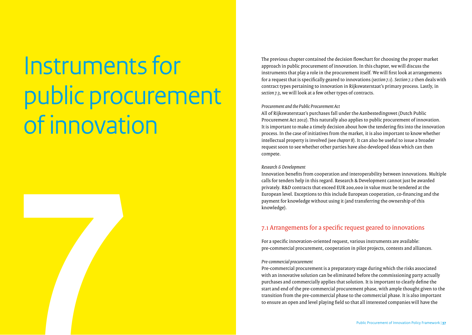# Instruments for public procurement of innovation **7**

The previous chapter contained the decision flowchart for choosing the proper market approach in public procurement of innovation. In this chapter, we will discuss the instruments that play a role in the procurement itself. We will first look at arrangements for a request that is specifically geared to innovations (*section 7*.1). *Section 7.2* then deals with contract types pertaining to innovation in Rijkswaterstaat's primary process. Lastly, in *section 7.3*, we will look at a few other types of contracts.

### *Procurement and the Public Procurement Act*

All of Rijkswaterstaat's purchases fall under the Aanbestedingswet (Dutch Public Procurement Act 2012). This naturally also applies to public procurement of innovation. It is important to make a timely decision about how the tendering fits into the innovation process. In the case of initiatives from the market, it is also important to know whether intellectual property is involved (see *chapter 8*). It can also be useful to issue a broader request soon to see whether other parties have also developed ideas which can then compete.

### *Research & Development*

Innovation benefits from cooperation and interoperability between innovations. Multiple calls for tenders help in this regard. Research & Development cannot just be awarded privately. R&D contracts that exceed EUR 200,000 in value must be tendered at the European level. Exceptions to this include European cooperation, co-financing and the payment for knowledge without using it (and transferring the ownership of this knowledge).

### 7.1 Arrangements for a specific request geared to innovations

For a specific innovation-oriented request, various instruments are available: pre-commercial procurement, cooperation in pilot projects, contests and alliances.

### *Pre-commercial procurement*

Pre-commercial procurement is a preparatory stage during which the risks associated with an innovative solution can be eliminated before the commissioning party actually purchases and commercially applies that solution. It is important to clearly define the start and end of the pre-commercial procurement phase, with ample thought given to the transition from the pre-commercial phase to the commercial phase. It is also important to ensure an open and level playing field so that all interested companies will have the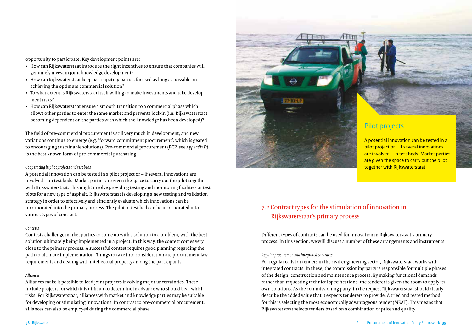opportunity to participate. Key development points are:

- How can Rijkswaterstaat introduce the right incentives to ensure that companies will genuinely invest in joint knowledge development?
- How can Rijkswaterstaat keep participating parties focused as long as possible on achieving the optimum commercial solution?
- To what extent is Rijkswaterstaat itself willing to make investments and take development risks?
- How can Rijkswaterstaat ensure a smooth transition to a commercial phase which allows other parties to enter the same market and prevents lock-in (i.e. Rijkswaterstaat becoming dependent on the parties with which the knowledge has been developed)?

The field of pre-commercial procurement is still very much in development, and new variations continue to emerge (e.g. 'forward commitment procurement', which is geared to encouraging sustainable solutions). Pre-commercial procurement (PCP, see *Appendix D*) is the best known form of pre-commercial purchasing.

### *Cooperating in pilot projects and test beds*

A potential innovation can be tested in a pilot project or – if several innovations are involved – on test beds. Market parties are given the space to carry out the pilot together with Rijkswaterstaat. This might involve providing testing and monitoring facilities or test plots for a new type of asphalt. Rijkswaterstaat is developing a new testing and validation strategy in order to effectively and efficiently evaluate which innovations can be incorporated into the primary process. The pilot or test bed can be incorporated into various types of contract.

### *Contests*

Contests challenge market parties to come up with a solution to a problem, with the best solution ultimately being implemented in a project. In this way, the contest comes very close to the primary process. A successful contest requires good planning regarding the path to ultimate implementation. Things to take into consideration are procurement law requirements and dealing with intellectual property among the participants.

### *Alliances*

Alliances make it possible to lead joint projects involving major uncertainties. These include projects for which it is difficult to determine in advance who should bear which risks. For Rijkswaterstaat, alliances with market and knowledge parties may be suitable for developing or stimulating innovations. In contrast to pre-commercial procurement, alliances can also be employed during the commercial phase.



### Pilot projects

A potential innovation can be tested in a pilot project or – if several innovations are involved – in test beds. Market parties are given the space to carry out the pilot together with Rijkswaterstaat.

### 7.2 Contract types for the stimulation of innovation in Rijkswaterstaat's primary process

Different types of contracts can be used for innovation in Rijkswaterstaat's primary process. In this section, we will discuss a number of these arrangements and instruments.

### *Regular procurement via integrated contracts*

For regular calls for tenders in the civil engineering sector, Rijkswaterstaat works with integrated contracts. In these, the commissioning party is responsible for multiple phases of the design, construction and maintenance process. By making functional demands rather than requesting technical specifications, the tenderer is given the room to apply its own solutions. As the commissioning party, in the request Rijkswaterstaat should clearly describe the added value that it expects tenderers to provide. A tried and tested method for this is selecting the most economically advantageous tender (MEAT). This means that Rijkswaterstaat selects tenders based on a combination of price and quality.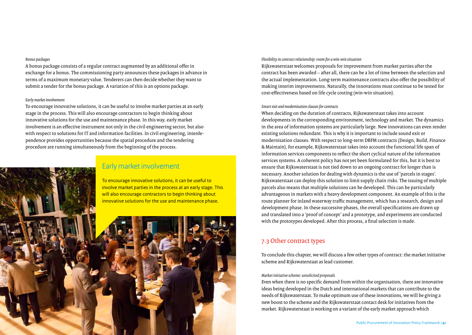### *Bonus packages*

A bonus package consists of a regular contract augmented by an additional offer in exchange for a bonus. The commissioning party announces these packages in advance in terms of a maximum monetary value. Tenderers can then decide whether they want to submit a tender for the bonus package. A variation of this is an options package.

### *Early market involvement*

To encourage innovative solutions, it can be useful to involve market parties at an early stage in the process. This will also encourage contractors to begin thinking about innovative solutions for the use and maintenance phase. In this way, early market involvement is an effective instrument not only in the civil engineering sector, but also with respect to solutions for IT and information facilities. In civil engineering, interdependence provides opportunities because the spatial procedure and the tendering procedure are running simultaneously from the beginning of the process.



### *Flexibility in contract relationship: room for a win-win situation*

Rijkswaterstaat welcomes proposals for improvement from market parties after the contract has been awarded – after all, there can be a lot of time between the selection and the actual implementation. Long-term maintenance contracts also offer the possibility of making interim improvements. Naturally, the innovations must continue to be tested for cost-effectiveness based on life cycle costing (win-win situation).

### *Smart exit and modernisation clauses for contracts*

When deciding on the duration of contracts, Rijkswaterstaat takes into account developments in the corresponding environment, technology and market. The dynamics in the area of information systems are particularly large. New innovations can even render existing solutions redundant. This is why it is important to include sound exit or modernisation clauses. With respect to long-term DBFM contracts (Design, Build, Finance & Maintain), for example, Rijkswaterstaat takes into account the functional life span of information services components to reflect the short cyclical nature of the information services systems. A coherent policy has not yet been formulated for this, but it is best to ensure that Rijkswaterstaat is not tied down to an ongoing contract for longer than is necessary. Another solution for dealing with dynamics is the use of 'parcels in stages'. Rijkswaterstaat can deploy this solution to limit supply chain risks. The issuing of multiple parcels also means that multiple solutions can be developed. This can be particularly advantageous in markets with a heavy development component. An example of this is the route planner for inland waterway traffic management, which has a research, design and development phase. In these successive phases, the overall specifications are drawn up and translated into a 'proof of concept' and a prototype, and experiments are conducted with the prototypes developed. After this process, a final selection is made.

### 7.3 Other contract types

To conclude this chapter, we will discuss a few other types of contract: the market initiative scheme and Rijkswaterstaat as lead customer.

### *Market initiative scheme: unsolicited proposals*

Even when there is no specific demand from within the organisation, there are innovative ideas being developed in the Dutch and international markets that can contribute to the needs of Rijkswaterstaat. To make optimum use of these innovations, we will be giving a new boost to the scheme and the Rijkswaterstaat contact desk for initiatives from the market. Rijkswaterstaat is working on a variant of the early market approach which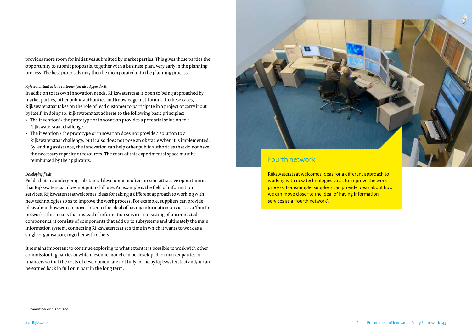provides more room for initiatives submitted by market parties. This gives those parties the opportunity to submit proposals, together with a business plan, very early in the planning process. The best proposals may then be incorporated into the planning process.

### *Rijkswaterstaat as lead customer (see also Appendix B)*

In addition to its own innovation needs, Rijkswaterstaat is open to being approached by market parties, other public authorities and knowledge institutions. In these cases, Rijkswaterstaat takes on the role of lead customer to participate in a project or carry it out by itself. In doing so, Rijkswaterstaat adheres to the following basic principles:

- $\cdot$  The invention<sup>2</sup> / the prototype or innovation provides a potential solution to a Rijkswaterstaat challenge.
- The invention / the prototype or innovation does not provide a solution to a Rijkswaterstaat challenge, but it also does not pose an obstacle when it is implemented. By lending assistance, the innovation can help other public authorities that do not have the necessary capacity or resources. The costs of this experimental space must be reimbursed by the applicants.

### *Developing fields*

Fields that are undergoing substantial development often present attractive opportunities that Rijkswaterstaat does not put to full use. An example is the field of information services. Rijkswaterstaat welcomes ideas for taking a different approach to working with new technologies so as to improve the work process. For example, suppliers can provide ideas about how we can move closer to the ideal of having information services as a 'fourth network'. This means that instead of information services consisting of unconnected components, it consists of components that add up to subsystems and ultimately the main information system, connecting Rijkswaterstaat at a time in which it wants to work as a single organisation, together with others.

It remains important to continue exploring to what extent it is possible to work with other commissioning parties or which revenue model can be developed for market parties or financers so that the costs of development are not fully borne by Rijkswaterstaat and/or can be earned back in full or in part in the long term.

# Fourth network

Rijkswaterstaat welcomes ideas for a different approach to working with new technologies so as to improve the work process. For example, suppliers can provide ideas about how we can move closer to the ideal of having information services as a 'fourth network'.

<sup>2</sup> Invention or discovery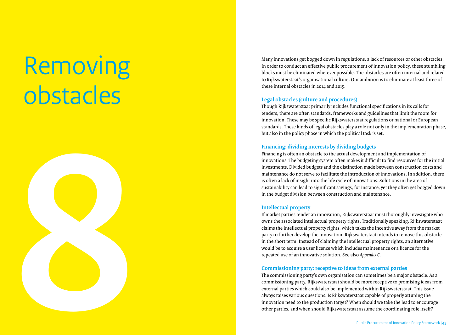# Removing obstacles



Many innovations get bogged down in regulations, a lack of resources or other obstacles. In order to conduct an e ffective public procurement of innovation policy, these stumbling blocks must be eliminated wherever possible. The obstacles are often internal and related to Rijkswaterstaat's organisational culture. Our ambition is to eliminate at least three of these internal obstacles in 2014 and 2015.

### **Legal obstacles (culture and procedures)**

Though Rijkswaterstaat primarily includes functional specifications in its calls for tenders, there are often standards, frameworks and guidelines that limit the room for innovation. These may be specific Rijkswaterstaat regulations or national or European standards. These kinds of legal obstacles play a role not only in the implementation phase, but also in the policy phase in which the political task is set.

### **Financing: dividing interests by dividing budgets**

Financing is often an obstacle to the actual development and implementation of innovations. The budgeting system often makes it difficult to find resources for the initial investments. Divided budgets and the distinction made between construction costs and maintenance do not serve to facilitate the introduction of innovations. In addition, there is often a lack of insight into the life cycle of innovations. Solutions in the area of sustainability can lead to significant savings, for instance, yet they often get bogged down in the budget division between construction and maintenance.

### **Intellectual property**

If market parties tender an innovation, Rijkswaterstaat must thoroughly investigate who owns the associated intellectual property rights. Traditionally speaking, Rijkswaterstaat claims the intellectual property rights, which takes the incentive away from the market party to further develop the innovation. Rijkswaterstaat intends to remove this obstacle in the short term. Instead of claiming the intellectual property rights, an alternative would be to acquire a user licence which includes maintenance or a licence for the repeated use of an innovative solution. See also *Appendix C* .

### **Commissioning party: receptive to ideas from external parties**

The commissioning party's own organisation can sometimes be a major obstacle. As a commissioning party, Rijkswaterstaat should be more receptive to promising ideas from external parties which could also be implemented within Rijkswaterstaat. This issue always raises various questions. Is Rijkswaterstaat capable of properly attuning the innovation need to the production target? When should we take the lead to encourage other parties, and when should Rijkswaterstaat assume the coordinating role itself?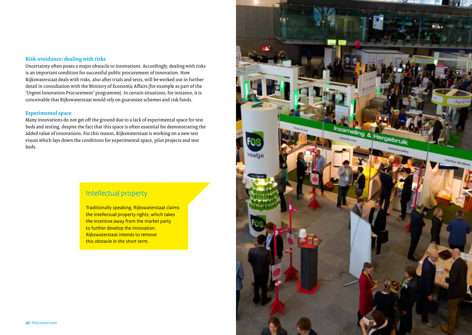### **Risk-avoidance: dealing with risks**

Uncertainty often poses a major obstacle to innovations. Accordingly, dealing with risks is an important condition for successful public procurement of innovation. How Rijkswaterstaat deals with risks, also after trials and tests, will be worked out in further detail in consultation with the Ministry of Economic Affairs (for example as part of the 'Urgent Innovation Procurement' programme). In certain situations, for instance, it is conceivable that Rijkswaterstaat would rely on guarantee schemes and risk funds.

### **Experimental space**

Many innovations do not get off the ground due to a lack of experimental space for test beds and testing, despite the fact that this space is often essential for demonstrating the added value of innovations. For this reason, Rijkswaterstaat is working on a new test vision which lays down the conditions for experimental space, pilot projects and test beds.

### Intellectual property

Traditionally speaking, Rijkswaterstaat claims the intellectual property rights, which takes the incentive away from the market party to further develop the innovation. Rijkswaterstaat intends to remove this obstacle in the short term.

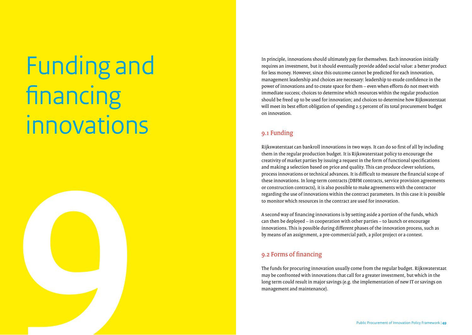# Funding and financing innovations **9**

In principle, innovations should ultimately pay for themselves. Each innovation initially requires an investment, but it should eventually provide added social value: a be er product for less money. However, since this outcome cannot be predicted for each innovation, management leadership and choices are necessary: leadership to exude confidence in the power of innovations and to create space for them – even when e fforts do not meet with immediate success; choices to determine which resources within the regular production should be freed up to be used for innovation; and choices to determine how Rijkswaterstaat will meet its best e ffort obligation of spending 2.5 percent of its total procurement budget on innovation.

### 9.1 Funding

Rijkswaterstaat can bankroll innovations in two ways. It can do so first of all by including them in the regular production budget. It is Rijkswaterstaat policy to encourage the creativity of market parties by issuing a request in the form of functional specifications and making a selection based on price and quality. This can produce clever solutions, process innovations or technical advances. It is di fficult to measure the financial scope of these innovations. In long-term contracts (DBFM contracts, service provision agreements or construction contracts), it is also possible to make agreements with the contractor regarding the use of innovations within the contract parameters. In this case it is possible to monitor which resources in the contract are used for innovation.

A second way of financing innovations is by setting aside a portion of the funds, which can then be deployed – in cooperation with other parties – to launch or encourage innovations. This is possible during di fferent phases of the innovation process, such as by means of an assignment, a pre-commercial path, a pilot project or a contest.

### 9.2 Forms of financing

The funds for procuring innovation usually come from the regular budget. Rijkswaterstaat may be confronted with innovations that call for a greater investment, but which in the long term could result in major savings (e.g. the implementation of new IT or savings on management and maintenance).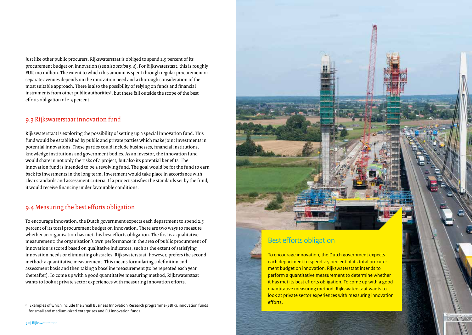Just like other public procurers, Rijkswaterstaat is obliged to spend 2.5 percent of its procurement budget on innovation (see also *section 9.4*). For Rijkswaterstaat, this is roughly EUR 100 million. The extent to which this amount is spent through regular procurement or separate avenues depends on the innovation need and a thorough consideration of the most suitable approach. There is also the possibility of relying on funds and financial instruments from other public authorities<sup>3</sup>, but these fall outside the scope of the best efforts obligation of 2.5 percent.

### 9.3 Rijkswaterstaat innovation fund

Rijkswaterstaat is exploring the possibility of setting up a special innovation fund. This fund would be established by public and private parties which make joint investments in potential innovations. These parties could include businesses, financial institutions, knowledge institutions and government bodies. As an investor, the innovation fund would share in not only the risks of a project, but also its potential benefits. The innovation fund is intended to be a revolving fund. The goal would be for the fund to earn back its investments in the long term. Investment would take place in accordance with clear standards and assessment criteria. If a project satisfies the standards set by the fund, it would receive financing under favourable conditions.

### 9.4 Measuring the best efforts obligation

To encourage innovation, the Dutch government expects each department to spend 2.5 percent of its total procurement budget on innovation. There are two ways to measure whether an organisation has met this best efforts obligation. The first is a qualitative measurement: the organisation's own performance in the area of public procurement of innovation is scored based on qualitative indicators, such as the extent of satisfying innovation needs or eliminating obstacles. Rijkswaterstaat, however, prefers the second method: a quantitative measurement. This means formulating a definition and assessment basis and then taking a baseline measurement (to be repeated each year thereafter). To come up with a good quantitative measuring method, Rijkswaterstaat wants to look at private sector experiences with measuring innovation efforts.



### Best efforts obligation

To encourage innovation, the Dutch government expects each department to spend 2.5 percent of its total procurement budget on innovation. Rijkswaterstaat intends to perform a quantitative measurement to determine whether it has met its best efforts obligation. To come up with a good quantitative measuring method, Rijkswaterstaat wants to look at private sector experiences with measuring innovation efforts.

**NAMES** 

<sup>3</sup> Examples of which include the Small Business Innovation Research programme (SBIR), innovation funds for small and medium-sized enterprises and EU innovation funds.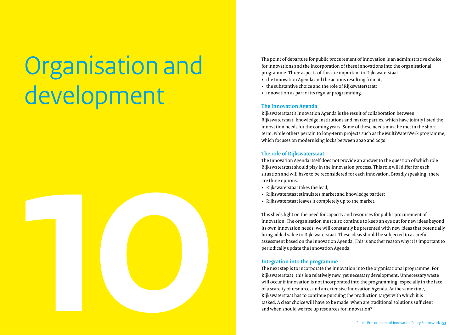# Organisation and development



The point of departure for public procurement of innovation is an administrative choice for innovations and the incorporation of these innovations into the organisational programme. Three aspects of this are important to Rijkswaterstaat:

- the Innovation Agenda and the actions resulting from it;
- the substantive choice and the role of Rijkswaterstaat;
- innovation as part of its regular programming.

### **The Innovation Agenda**

Rijkswaterstaat's Innovation Agenda is the result of collaboration between Rijkswaterstaat, knowledge institutions and market parties, which have jointly listed the innovation needs for the coming years. Some of these needs must be met in the short term, while others pertain to long-term projects such as the MultiWaterWerk programme, which focuses on modernising locks between 2020 and 2050.

### **The role of Rijkswaterstaat**

The Innovation Agenda itself does not provide an answer to the question of which role Rijkswaterstaat should play in the innovation process. This role will differ for each situation and will have to be reconsidered for each innovation. Broadly speaking, there are three options:

- Rijkswaterstaat takes the lead;
- Rijkswaterstaat stimulates market and knowledge parties;
- Rijkswaterstaat leaves it completely up to the market.

This sheds light on the need for capacity and resources for public procurement of innovation. The organisation must also continue to keep an eye out for new ideas beyond its own innovation needs: we will constantly be presented with new ideas that potentially bring added value to Rijkswaterstaat. These ideas should be subjected to a careful assessment based on the Innovation Agenda. This is another reason why it is important to periodically update the Innovation Agenda.

### **Integration into the programme**

The next step is to incorporate the innovation into the organisational programme. For Rijkswaterstaat, this is a relatively new, yet necessary development. Unnecessary waste will occur if innovation is not incorporated into the programming, especially in the face of a scarcity of resources and an extensive Innovation Agenda. At the same time, Rijkswaterstaat has to continue pursuing the production target with which it is tasked. A clear choice will have to be made: when are traditional solutions sufficient and when should we free up resources for innovation?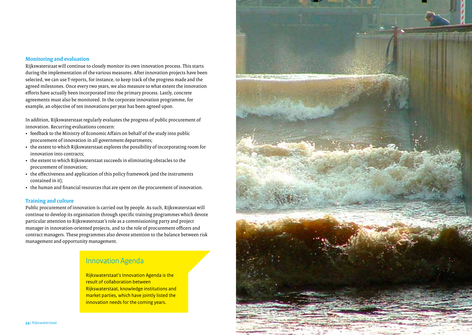### **Monitoring and evaluation**

Rijkswaterstaat will continue to closely monitor its own innovation process. This starts during the implementation of the various measures. After innovation projects have been selected, we can use T-reports, for instance, to keep track of the progress made and the agreed milestones. Once every two years, we also measure to what extent the innovation efforts have actually been incorporated into the primary process. Lastly, concrete agreements must also be monitored. In the corporate innovation programme, for example, an objective of ten innovations per year has been agreed upon.

In addition, Rijkswaterstaat regularly evaluates the progress of public procurement of innovation. Recurring evaluations concern:

- feedback to the Ministry of Economic Affairs on behalf of the study into public procurement of innovation in all government departments;
- the extent to which Rijkswaterstaat explores the possibility of incorporating room for innovation into contracts;
- the extent to which Rijkswaterstaat succeeds in eliminating obstacles to the procurement of innovation;
- the effectiveness and application of this policy framework (and the instruments contained in it);
- the human and financial resources that are spent on the procurement of innovation.

### **Training and culture**

Public procurement of innovation is carried out by people. As such, Rijkswaterstaat will continue to develop its organisation through specific training programmes which devote particular attention to Rijkswaterstaat's role as a commissioning party and project manager in innovation-oriented projects, and to the role of procurement officers and contract managers. These programmes also devote attention to the balance between risk management and opportunity management.

### Innovation Agenda

Rijkswaterstaat's Innovation Agenda is the result of collaboration between Rijkswaterstaat, knowledge institutions and market parties, which have jointly listed the innovation needs for the coming years.

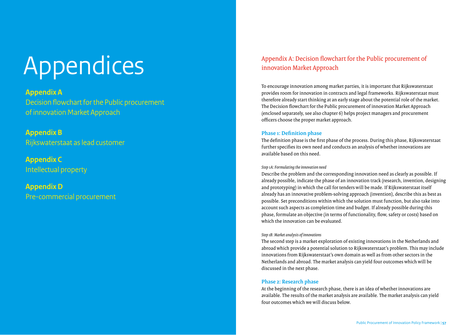# Appendices

### **Appendix A**

Decision flowchart for the Public procurement of innovation Market Approach

### **Appendix B**

Rijkswaterstaat as lead customer

### **Appendix C**

Intellectual property

### **Appendix D** Pre-commercial procurement

### Appendix A: Decision flowchart for the Public procurement of innovation Market Approach

To encourage innovation among market parties, it is important that Rijkswaterstaat provides room for innovation in contracts and legal frameworks. Rijkswaterstaat must therefore already start thinking at an early stage about the potential role of the market. The Decision flowchart for the Public procurement of innovation Market Approach (enclosed separately, see also chapter 6) helps project managers and procurement officers choose the proper market approach.

### **Phase 1: Definition phase**

The definition phase is the first phase of the process. During this phase, Rijkswaterstaat further specifies its own need and conducts an analysis of whether innovations are available based on this need.

### *Step 1A: Formulating the innovation need*

Describe the problem and the corresponding innovation need as clearly as possible. If already possible, indicate the phase of an innovation track (research, invention, designing and prototyping) in which the call for tenders will be made. If Rijkswaterstaat itself already has an innovative problem-solving approach (invention), describe this as best as possible. Set preconditions within which the solution must function, but also take into account such aspects as completion time and budget. If already possible during this phase, formulate an objective (in terms of functionality, flow, safety or costs) based on which the innovation can be evaluated.

### *Step 1B: Market analysis of innovations*

The second step is a market exploration of existing innovations in the Netherlands and abroad which provide a potential solution to Rijkswaterstaat's problem. This may include innovations from Rijkswaterstaat's own domain as well as from other sectors in the Netherlands and abroad. The market analysis can yield four outcomes which will be discussed in the next phase.

### **Phase 2: Research phase**

At the beginning of the research phase, there is an idea of whether innovations are available. The results of the market analysis are available. The market analysis can yield four outcomes which we will discuss below.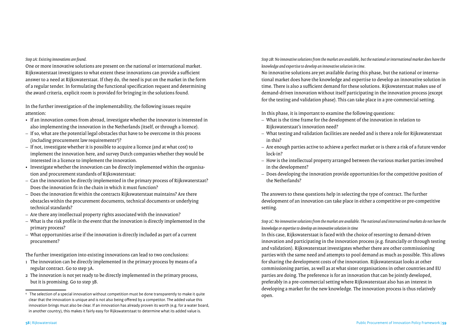*Step 2A: Existing innovations are found.*

One or more innovative solutions are present on the national or international market. Rijkswaterstaat investigates to what extent these innovations can provide a sufficient answer to a need at Rijkswaterstaat. If they do, the need is put on the market in the form of a regular tender. In formulating the functional specification request and determining the award criteria, explicit room is provided for bringing in the solutions found.

In the further investigation of the implementability, the following issues require attention:

- If an innovation comes from abroad, investigate whether the innovator is interested in also implementing the innovation in the Netherlands (itself, or through a licence).
- If so, what are the potential legal obstacles that have to be overcome in this process (including procurement law requirements4 )?
- If not, investigate whether it is possible to acquire a licence (and at what cost) to implement the innovation here, and survey Dutch companies whether they would be interested in a licence to implement the innovation.
- Investigate whether the innovation can be directly implemented within the organisation and procurement standards of Rijkswaterstaat:
- Can the innovation be directly implemented in the primary process of Rijkswaterstaat? Does the innovation fit in the chain in which it must function?
- Does the innovation fit within the contracts Rijkswaterstaat maintains? Are there obstacles within the procurement documents, technical documents or underlying technical standards?
- Are there any intellectual property rights associated with the innovation?
- What is the risk profile in the event that the innovation is directly implemented in the primary process?
- What opportunities arise if the innovation is directly included as part of a current procurement?

The further investigation into existing innovations can lead to two conclusions:

- 1 The innovation can be directly implemented in the primary process by means of a regular contract. Go to step 3A.
- 2 The innovation is not yet ready to be directly implemented in the primary process, but it is promising. Go to step 3B.

*Step 2B: No innovative solutions from the market are available, but the national or international market does have the knowledge and expertise to develop an innovative solution in time.*

No innovative solutions are yet available during this phase, but the national or international market does have the knowledge and expertise to develop an innovative solution in time. There is also a sufficient demand for these solutions. Rijkswaterstaat makes use of demand-driven innovation without itself participating in the innovation process (except for the testing and validation phase). This can take place in a pre-commercial setting.

In this phase, it is important to examine the following questions:

- What is the time frame for the development of the innovation in relation to Rijkswaterstaat's innovation need?
- What testing and validation facilities are needed and is there a role for Rijkswaterstaat in this?
- Are enough parties active to achieve a perfect market or is there a risk of a future vendor lock-in?
- How is the intellectual property arranged between the various market parties involved in the development?
- Does developing the innovation provide opportunities for the competitive position of the Netherlands?

The answers to these questions help in selecting the type of contract. The further development of an innovation can take place in either a competitive or pre-competitive setting.

*Step 2C: No innovative solutions from the market are available. The national and international markets do not have the knowledge or expertise to develop an innovative solution in time*

In this case, Rijkswaterstaat is faced with the choice of resorting to demand-driven innovation and participating in the innovation process (e.g. financially or through testing and validation). Rijkswaterstaat investigates whether there are other commissioning parties with the same need and attempts to pool demand as much as possible. This allows for sharing the development costs of the innovation. Rijkswaterstaat looks at other commissioning parties, as well as at what sister organisations in other countries and EU parties are doing. The preference is for an innovation that can be jointly developed, preferably in a pre-commercial setting where Rijkswaterstaat also has an interest in developing a market for the new knowledge. The innovation process is thus relatively open.

<sup>4</sup> The selection of a special innovation without competition must be done transparently to make it quite clear that the innovation is unique and is not also being offered by a competitor. The added value this innovation brings must also be clear. If an innovation has already proven its worth (e.g. for a water board, in another country), this makes it fairly easy for Rijkswaterstaat to determine what its added value is.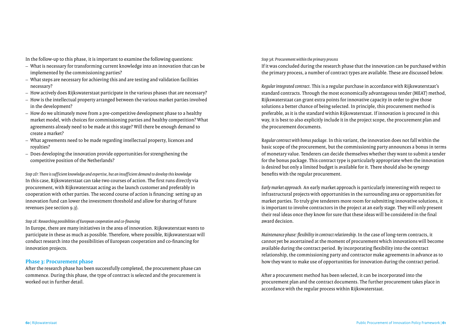In the follow-up to this phase, it is important to examine the following questions:

- What is necessary for transforming current knowledge into an innovation that can be implemented by the commissioning parties?
- What steps are necessary for achieving this and are testing and validation facilities necessary?
- How actively does Rijkswaterstaat participate in the various phases that are necessary?
- How is the intellectual property arranged between the various market parties involved in the development?
- How do we ultimately move from a pre-competitive development phase to a healthy market model, with choices for commissioning parties and healthy competition? What agreements already need to be made at this stage? Will there be enough demand to create a market?
- What agreements need to be made regarding intellectual property, licences and royalties?
- Does developing the innovation provide opportunities for strengthening the competitive position of the Netherlands?

*Step 2D: There is sufficient knowledge and expertise, but an insufficient demand to develop this knowledge* In this case, Rijkswaterstaat can take two courses of action. The first runs directly via procurement, with Rijkswaterstaat acting as the launch customer and preferably in cooperation with other parties. The second course of action is financing: setting up an innovation fund can lower the investment threshold and allow for sharing of future revenues (see section 9.3).

### *Step 2E: Researching possibilities of European cooperation and co-financing*

In Europe, there are many initiatives in the area of innovation. Rijkswaterstaat wants to participate in these as much as possible. Therefore, where possible, Rijkswaterstaat will conduct research into the possibilities of European cooperation and co-financing for innovation projects.

### **Phase 3: Procurement phase**

After the research phase has been successfully completed, the procurement phase can commence. During this phase, the type of contract is selected and the procurement is worked out in further detail.

*Step 3A: Procurement within the primary process*

If it was concluded during the research phase that the innovation can be purchased within the primary process, a number of contract types are available. These are discussed below.

*Regular integrated contract*. This is a regular purchase in accordance with Rijkswaterstaat's standard contracts. Through the most economically advantageous tender (MEAT) method, Rijkswaterstaat can grant extra points for innovative capacity in order to give those solutions a better chance of being selected. In principle, this procurement method is preferable, as it is the standard within Rijkswaterstaat. If innovation is procured in this way, it is best to also explicitly include it in the project scope, the procurement plan and the procurement documents.

R*egular contract with bonus package.* In this variant, the innovation does not fall within the basic scope of the procurement, but the commissioning party announces a bonus in terms of monetary value. Tenderers can decide themselves whether they want to submit a tender for the bonus package. This contract type is particularly appropriate when the innovation is desired but only a limited budget is available for it. There should also be synergy benefits with the regular procurement.

*Early market approach.* An early market approach is particularly interesting with respect to infrastructural projects with opportunities in the surrounding area or opportunities for market parties. To truly give tenderers more room for submitting innovative solutions, it is important to involve contractors in the project at an early stage. They will only present their real ideas once they know for sure that these ideas will be considered in the final award decision.

*Maintenance phase: flexibility in contract relationship.* In the case of long-term contracts, it cannot yet be ascertained at the moment of procurement which innovations will become available during the contract period. By incorporating flexibility into the contract relationship, the commissioning party and contractor make agreements in advance as to how they want to make use of opportunities for innovation during the contract period.

After a procurement method has been selected, it can be incorporated into the procurement plan and the contract documents. The further procurement takes place in accordance with the regular process within Rijkswaterstaat.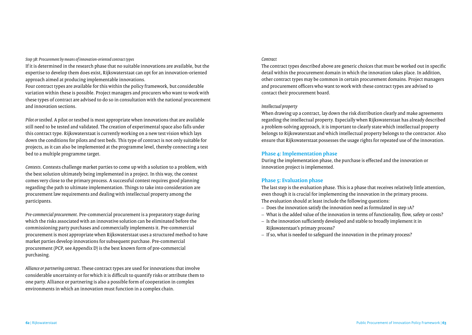*Step 3B: Procurement by means of innovation-oriented contract types*

If it is determined in the research phase that no suitable innovations are available, but the expertise to develop them does exist, Rijkswaterstaat can opt for an innovation-oriented approach aimed at producing implementable innovations.

Four contract types are available for this within the policy framework, but considerable variation within these is possible. Project managers and procurers who want to work with these types of contract are advised to do so in consultation with the national procurement and innovation sections.

*Pilot or testbed*. A pilot or testbed is most appropriate when innovations that are available still need to be tested and validated. The creation of experimental space also falls under this contract type. Rijkswaterstaat is currently working on a new test vision which lays down the conditions for pilots and test beds. This type of contract is not only suitable for projects, as it can also be implemented at the programme level, thereby connecting a test bed to a multiple programme target.

*Contests*. Contests challenge market parties to come up with a solution to a problem, with the best solution ultimately being implemented in a project. In this way, the contest comes very close to the primary process. A successful contest requires good planning regarding the path to ultimate implementation. Things to take into consideration are procurement law requirements and dealing with intellectual property among the participants.

*Pre-commercial procurement*. Pre-commercial procurement is a preparatory stage during which the risks associated with an innovative solution can be eliminated before the commissioning party purchases and commercially implements it. Pre-commercial procurement is most appropriate when Rijkswaterstaat uses a structured method to have market parties develop innovations for subsequent purchase. Pre-commercial procurement (PCP, see Appendix D) is the best known form of pre-commercial purchasing.

*Alliance or partnering contract*. These contract types are used for innovations that involve considerable uncertainty or for which it is difficult to quantify risks or attribute them to one party. Alliance or partnering is also a possible form of cooperation in complex environments in which an innovation must function in a complex chain.

### *Contract*

The contract types described above are generic choices that must be worked out in specific detail within the procurement domain in which the innovation takes place. In addition, other contract types may be common in certain procurement domains. Project managers and procurement officers who want to work with these contract types are advised to contact their procurement board.

### *Intellectual property*

When drawing up a contract, lay down the risk distribution clearly and make agreements regarding the intellectual property. Especially when Rijkswaterstaat has already described a problem-solving approach, it is important to clearly state which intellectual property belongs to Rijkswaterstaat and which intellectual property belongs to the contractor. Also ensure that Rijkswaterstaat possesses the usage rights for repeated use of the innovation.

### **Phase 4: Implementation phase**

During the implementation phase, the purchase is effected and the innovation or innovation project is implemented.

### **Phase 5: Evaluation phase**

The last step is the evaluation phase. This is a phase that receives relatively little attention, even though it is crucial for implementing the innovation in the primary process. The evaluation should at least include the following questions:

- Does the innovation satisfy the innovation need as formulated in step 1A?
- What is the added value of the innovation in terms of functionality, flow, safety or costs?
- Is the innovation sufficiently developed and stable to broadly implement it in Rijkswaterstaat's primary process?
- If so, what is needed to safeguard the innovation in the primary process?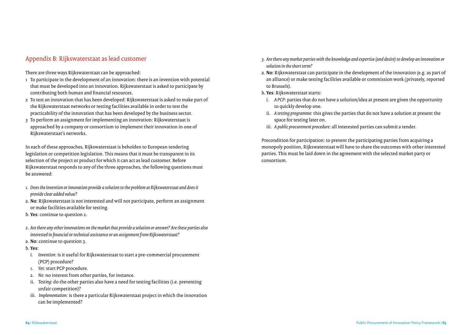### Appendix B: Rijkswaterstaat as lead customer

There are three ways Rijkswaterstaat can be approached:

- 1 To participate in the development of an innovation: there is an invention with potential that must be developed into an innovation. Rijkswaterstaat is asked to participate by contributing both human and financial resources.
- 2 To test an innovation that has been developed: Rijkswaterstaat is asked to make part of the Rijkswaterstaat networks or testing facilities available in order to test the practicability of the innovation that has been developed by the business sector.
- 3 To perform an assignment for implementing an innovation: Rijkswaterstaat is approached by a company or consortium to implement their innovation in one of Rijkswaterstaat's networks.

In each of these approaches, Rijkswaterstaat is beholden to European tendering legislation or competition legislation. This means that it must be transparent in its selection of the project or product for which it can act as lead customer. Before Rijkswaterstaat responds to any of the three approaches, the following questions must be answered:

- *1. Does the invention or innovation provide a solution to the problem at Rijkswaterstaat and does it provide clear added val*ue?
- a. **No**: Rijkswaterstaat is not interested and will not participate, perform an assignment or make facilities available for testing.
- b. **Yes**: continue to question 2.
- *2. Are there any other innovations on the market that provide a solution or answer? Are these parties also interested in financial or technical assistance or an assignment from Rijkswaterstaat?*
- a. **No**: continue to question 3.

### b. **Yes**:

- i. *Invention*: is it useful for Rijkswaterstaat to start a pre-commercial procurement (PCP) procedure?
- 1. *Yes:* start PCP procedure.
- 2. *No:* no interest from other parties, for instance.
- ii. *Testing:* do the other parties also have a need for testing facilities (i.e. preventing unfair competition)?
- iii. *Implementation:* is there a particular Rijkswaterstaat project in which the innovation can be implemented?
- *3. Are there any market parties with the knowledge and expertise (and desire) to develop an innovation or solution in the short term?*
- a. **No**: Rijkswaterstaat can participate in the development of the innovation (e.g. as part of an alliance) or make testing facilities available or commission work (privately, reported to Brussels).
- b. **Yes**: Rijkswaterstaat starts:
- i. *A PCP:* parties that do not have a solution/idea at present are given the opportunity to quickly develop one.
- ii. *A testing programme:* this gives the parties that do not have a solution at present the space for testing later on.
- iii. *A public procurement procedure:* all interested parties can submit a tender.

Precondition for participation: to prevent the participating parties from acquiring a monopoly position, Rijkswaterstaat will have to share the outcomes with other interested parties. This must be laid down in the agreement with the selected market party or consortium.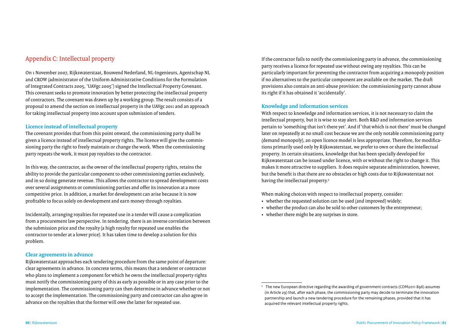### Appendix C: Intellectual property

On 1 November 2007, Rijkswaterstaat, Bouwend Nederland, NL-Ingenieurs, Agentschap NL and CROW (administrator of the Uniform Administrative Conditions for the Formulation of Integrated Contracts 2005, 'UAVgc 2005') signed the Intellectual Property Covenant. This covenant seeks to promote innovation by better protecting the intellectual property of contractors. The covenant was drawn up by a working group. The result consists of a proposal to amend the section on intellectual property in the UAVgc 2011 and an approach for taking intellectual property into account upon submission of tenders.

### **Licence instead of intellectual property**

The covenant provides that from this point onward, the commissioning party shall be given a licence instead of intellectual property rights. The licence will give the commissioning party the right to freely maintain or change the work. When the commissioning party repeats the work, it must pay royalties to the contractor.

In this way, the contractor, as the owner of the intellectual property rights, retains the ability to provide the particular component to other commissioning parties exclusively, and in so doing generate revenue. This allows the contractor to spread development costs over several assignments or commissioning parties and offer its innovation at a more competitive price. In addition, a market for development can arise because it is now profitable to focus solely on development and earn money through royalties.

Incidentally, arranging royalties for repeated use in a tender will cause a complication from a procurement law perspective. In tendering, there is an inverse correlation between the submission price and the royalty (a high royalty for repeated use enables the contractor to tender at a lower price). It has taken time to develop a solution for this problem.

### **Clear agreements in advance**

Rijkswaterstaat approaches each tendering procedure from the same point of departure: clear agreements in advance. In concrete terms, this means that a tenderer or contractor who plans to implement a component for which he owns the intellectual property rights must notify the commissioning party of this as early as possible or in any case prior to the implementation. The commissioning party can then determine in advance whether or not to accept the implementation. The commissioning party and contractor can also agree in advance on the royalties that the former will owe the latter for repeated use.

If the contractor fails to notify the commissioning party in advance, the commissioning party receives a licence for repeated use without owing any royalties. This can be particularly important for preventing the contractor from acquiring a monopoly position if no alternatives to the particular component are available on the market. The dra provisions also contain an anti-abuse provision: the commissioning party cannot abuse its right if it has obtained it 'accidentally'.

### **Knowledge and information services**

With respect to knowledge and information services, it is not necessary to claim the intellectual property, but it is wise to stay alert. Both R&D and information services pertain to 'something that isn't there yet'. And if 'that which is not there' must be changed later on repeatedly at no small cost because we are the only notable commissioning party (demand monopoly), an open licence model is less appropriate. Therefore, for modifications primarily used only by Rijkswaterstaat, we prefer to own or share the intellectual property. In certain situations, knowledge that has been specially developed for Rijkswaterstaat can be issued under licence, with or without the right to change it. This makes it more attractive to suppliers. It does require separate administration, however, but the benefit is that there are no obstacles or high costs due to Rijkswaterstaat not having the intellectual property.5

When making choices with respect to intellectual property, consider:

- whether the requested solution can be used (and improved) widely;
- whether the product can also be sold to other customers by the entrepreneur;
- whether there might be any surprises in store.

<sup>5</sup> The new European directive regarding the awarding of government contracts (COM2011 896) assumes (in Article 29) that, after each phase, the commissioning party may decide to terminate the innovation partnership and launch a new tendering procedure for the remaining phases, provided that it has acquired the relevant intellectual property rights.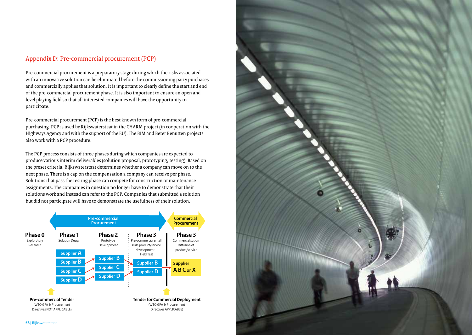### Appendix D: Pre-commercial procurement (PCP)

Pre-commercial procurement is a preparatory stage during which the risks associated with an innovative solution can be eliminated before the commissioning party purchases and commercially applies that solution. It is important to clearly define the start and end of the pre-commercial procurement phase. It is also important to ensure an open and level playing field so that all interested companies will have the opportunity to participate.

Pre-commercial procurement (PCP) is the best known form of pre-commercial purchasing. PCP is used by Rijkswaterstaat in the CHARM project (in cooperation with the Highways Agency and with the support of the EU). The BIM and Beter Benutten projects also work with a PCP procedure.

The PCP process consists of three phases during which companies are expected to produce various interim deliverables (solution proposal, prototyping, testing). Based on the preset criteria, Rijkswaterstaat determines whether a company can move on to the next phase. There is a cap on the compensation a company can receive per phase. Solutions that pass the testing phase can compete for construction or maintenance assignments. The companies in question no longer have to demonstrate that their solutions work and instead can refer to the PCP. Companies that submitted a solution but did not participate will have to demonstrate the usefulness of their solution.



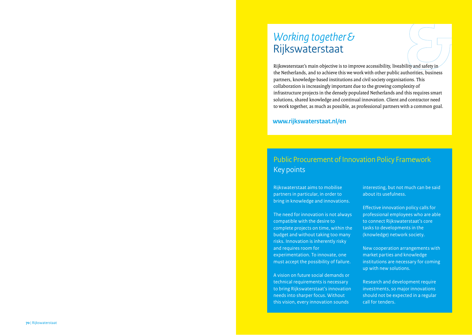### *Working together &*  Rijkswaterstaat

Rijkswaterstaat's main objective is to improve accessibility, liveability and safety in the Netherlands, and to achieve this we work with other public authorities, business partners, knowledge-based institutions and civil society organisations. This collaboration is increasingly important due to the growing complexity of infrastructure projects in the densely populated Netherlands and this requires smart solutions, shared knowledge and continual innovation. Client and contractor need to work together, as much as possible, as professional partners with a common goal.

### **www.rijkswaterstaat.nl/en**

### Public Procurement of Innovation Policy Framework Key points

Rijkswaterstaat aims to mobilise partners in particular, in order to bring in knowledge and innovations.

The need for innovation is not always compatible with the desire to complete projects on time, within the budget and without taking too many risks. Innovation is inherently risky and requires room for experimentation. To innovate, one must accept the possibility of failure.

A vision on future social demands or technical requirements is necessary to bring Rijkswaterstaat's innovation needs into sharper focus. Without this vision, every innovation sounds

interesting, but not much can be said about its usefulness.

Effective innovation policy calls for professional employees who are able to connect Rijkswaterstaat's core tasks to developments in the (knowledge) network society.

New cooperation arrangements with market parties and knowledge institutions are necessary for coming up with new solutions.

Research and development require investments, so major innovations should not be expected in a regular call for tenders.